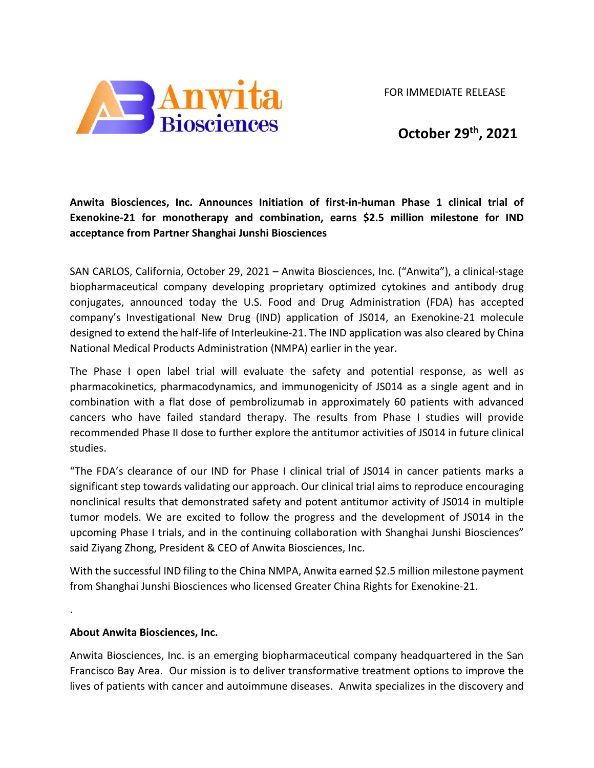FOR IMMEDIATE RELEASE



 **October 29th, 2021**

**Anwita Biosciences, Inc. Announces Initiation of first-in-human Phase 1 clinical trial of Exenokine-21 for monotherapy and combination, earns \$2.5 million milestone for IND acceptance from Partner Shanghai Junshi Biosciences**

SAN CARLOS, California, October 29, 2021 – Anwita Biosciences, Inc. ("Anwita"), a clinical-stage biopharmaceutical company developing proprietary optimized cytokines and antibody drug conjugates, announced today the U.S. Food and Drug Administration (FDA) has accepted company's Investigational New Drug (IND) application of JS014, an Exenokine-21 molecule designed to extend the half-life of Interleukine-21. The IND application was also cleared by China National Medical Products Administration (NMPA) earlier in the year.

The Phase I open label trial will evaluate the safety and potential response, as well as pharmacokinetics, pharmacodynamics, and immunogenicity of JS014 as a single agent and in combination with a flat dose of pembrolizumab in approximately 60 patients with advanced cancers who have failed standard therapy. The results from Phase I studies will provide recommended Phase II dose to further explore the antitumor activities of JS014 in future clinical studies.

"The FDA's clearance of our IND for Phase I clinical trial of JS014 in cancer patients marks a significant step towards validating our approach. Our clinical trial aims to reproduce encouraging nonclinical results that demonstrated safety and potent antitumor activity of JS014 in multiple tumor models. We are excited to follow the progress and the development of JS014 in the upcoming Phase I trials, and in the continuing collaboration with Shanghai Junshi Biosciences" said Ziyang Zhong, President & CEO of Anwita Biosciences, Inc.

With the successful IND filing to the China NMPA, Anwita earned \$2.5 million milestone payment from Shanghai Junshi Biosciences who licensed Greater China Rights for Exenokine-21.

## **About Anwita Biosciences, Inc.**

.

Anwita Biosciences, Inc. is an emerging biopharmaceutical company headquartered in the San Francisco Bay Area. Our mission is to deliver transformative treatment options to improve the lives of patients with cancer and autoimmune diseases. Anwita specializes in the discovery and